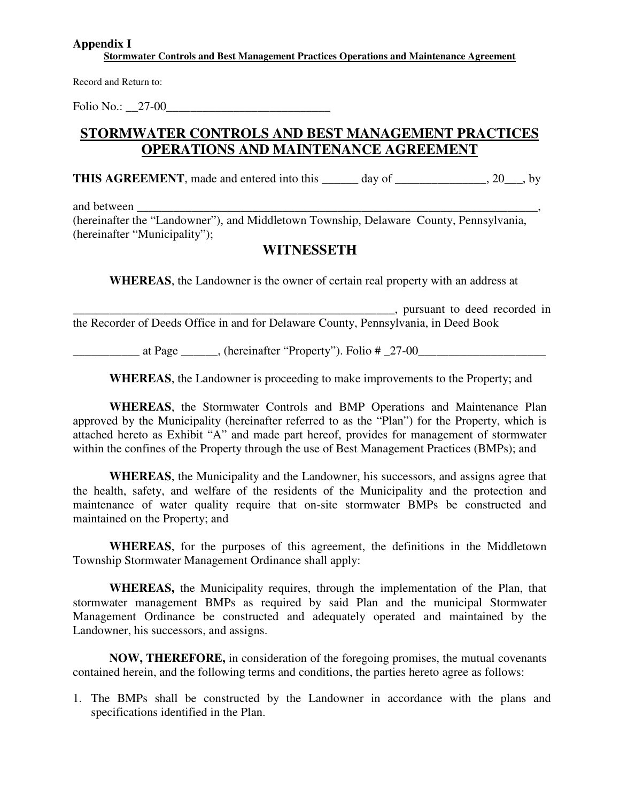#### **Appendix I**

**Stormwater Controls and Best Management Practices Operations and Maintenance Agreement** 

Record and Return to:

Folio No.: 27-00

## **STORMWATER CONTROLS AND BEST MANAGEMENT PRACTICES OPERATIONS AND MAINTENANCE AGREEMENT**

**THIS AGREEMENT**, made and entered into this day of \_\_\_\_\_\_\_\_\_\_\_\_\_, 20\_\_\_, by

and between

(hereinafter the "Landowner"), and Middletown Township, Delaware County, Pennsylvania, (hereinafter "Municipality");

## **WITNESSETH**

**WHEREAS**, the Landowner is the owner of certain real property with an address at

\_\_\_\_\_\_\_\_\_\_\_\_\_\_\_\_\_\_\_\_\_\_\_\_\_\_\_\_\_\_\_\_\_\_\_\_\_\_\_\_\_\_\_\_\_\_\_\_\_\_\_\_\_, pursuant to deed recorded in the Recorder of Deeds Office in and for Delaware County, Pennsylvania, in Deed Book

\_\_\_\_\_\_\_\_\_\_\_ at Page \_\_\_\_\_\_, (hereinafter "Property"). Folio # \_27-00\_\_\_\_\_\_\_\_\_\_\_\_\_\_\_\_\_\_\_\_\_

**WHEREAS**, the Landowner is proceeding to make improvements to the Property; and

**WHEREAS**, the Stormwater Controls and BMP Operations and Maintenance Plan approved by the Municipality (hereinafter referred to as the "Plan") for the Property, which is attached hereto as Exhibit "A" and made part hereof, provides for management of stormwater within the confines of the Property through the use of Best Management Practices (BMPs); and

**WHEREAS**, the Municipality and the Landowner, his successors, and assigns agree that the health, safety, and welfare of the residents of the Municipality and the protection and maintenance of water quality require that on-site stormwater BMPs be constructed and maintained on the Property; and

**WHEREAS**, for the purposes of this agreement, the definitions in the Middletown Township Stormwater Management Ordinance shall apply:

 **WHEREAS,** the Municipality requires, through the implementation of the Plan, that stormwater management BMPs as required by said Plan and the municipal Stormwater Management Ordinance be constructed and adequately operated and maintained by the Landowner, his successors, and assigns.

**NOW, THEREFORE,** in consideration of the foregoing promises, the mutual covenants contained herein, and the following terms and conditions, the parties hereto agree as follows:

1. The BMPs shall be constructed by the Landowner in accordance with the plans and specifications identified in the Plan.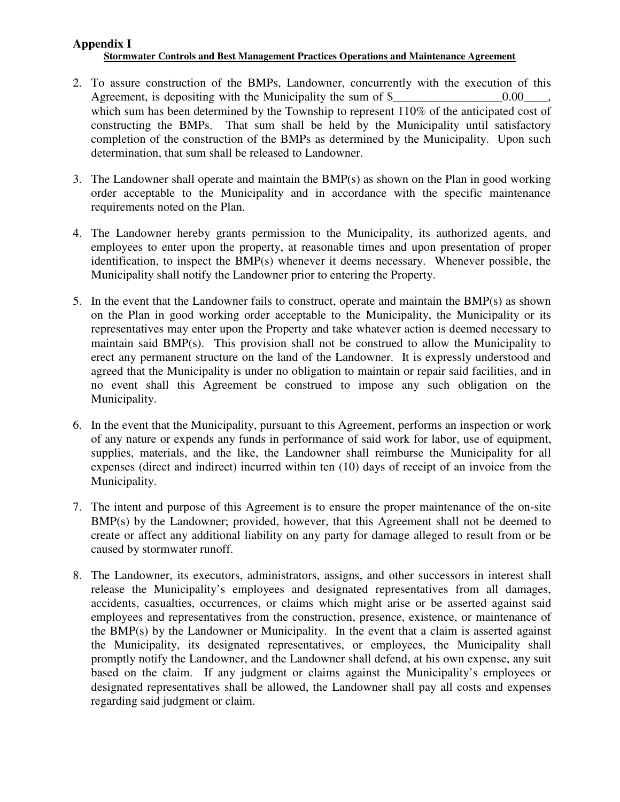#### **Appendix I Stormwater Controls and Best Management Practices Operations and Maintenance Agreement**

- 2. To assure construction of the BMPs, Landowner, concurrently with the execution of this Agreement, is depositing with the Municipality the sum of  $\$\qquad \qquad 0.00\qquad ,$ which sum has been determined by the Township to represent 110% of the anticipated cost of constructing the BMPs. That sum shall be held by the Municipality until satisfactory completion of the construction of the BMPs as determined by the Municipality. Upon such determination, that sum shall be released to Landowner.
- 3. The Landowner shall operate and maintain the BMP(s) as shown on the Plan in good working order acceptable to the Municipality and in accordance with the specific maintenance requirements noted on the Plan.
- 4. The Landowner hereby grants permission to the Municipality, its authorized agents, and employees to enter upon the property, at reasonable times and upon presentation of proper identification, to inspect the BMP(s) whenever it deems necessary. Whenever possible, the Municipality shall notify the Landowner prior to entering the Property.
- 5. In the event that the Landowner fails to construct, operate and maintain the BMP(s) as shown on the Plan in good working order acceptable to the Municipality, the Municipality or its representatives may enter upon the Property and take whatever action is deemed necessary to maintain said BMP(s). This provision shall not be construed to allow the Municipality to erect any permanent structure on the land of the Landowner. It is expressly understood and agreed that the Municipality is under no obligation to maintain or repair said facilities, and in no event shall this Agreement be construed to impose any such obligation on the Municipality.
- 6. In the event that the Municipality, pursuant to this Agreement, performs an inspection or work of any nature or expends any funds in performance of said work for labor, use of equipment, supplies, materials, and the like, the Landowner shall reimburse the Municipality for all expenses (direct and indirect) incurred within ten (10) days of receipt of an invoice from the Municipality.
- 7. The intent and purpose of this Agreement is to ensure the proper maintenance of the on-site BMP(s) by the Landowner; provided, however, that this Agreement shall not be deemed to create or affect any additional liability on any party for damage alleged to result from or be caused by stormwater runoff.
- 8. The Landowner, its executors, administrators, assigns, and other successors in interest shall release the Municipality's employees and designated representatives from all damages, accidents, casualties, occurrences, or claims which might arise or be asserted against said employees and representatives from the construction, presence, existence, or maintenance of the BMP(s) by the Landowner or Municipality. In the event that a claim is asserted against the Municipality, its designated representatives, or employees, the Municipality shall promptly notify the Landowner, and the Landowner shall defend, at his own expense, any suit based on the claim. If any judgment or claims against the Municipality's employees or designated representatives shall be allowed, the Landowner shall pay all costs and expenses regarding said judgment or claim.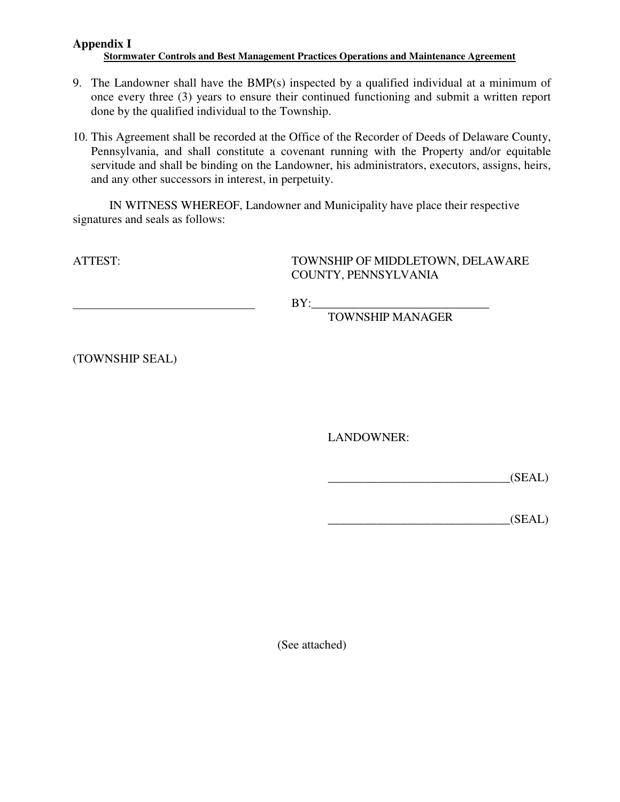#### **Appendix I Stormwater Controls and Best Management Practices Operations and Maintenance Agreement**

- 9. The Landowner shall have the BMP(s) inspected by a qualified individual at a minimum of once every three (3) years to ensure their continued functioning and submit a written report done by the qualified individual to the Township.
- 10. This Agreement shall be recorded at the Office of the Recorder of Deeds of Delaware County, Pennsylvania, and shall constitute a covenant running with the Property and/or equitable servitude and shall be binding on the Landowner, his administrators, executors, assigns, heirs, and any other successors in interest, in perpetuity.

 IN WITNESS WHEREOF, Landowner and Municipality have place their respective signatures and seals as follows:

ATTEST: TOWNSHIP OF MIDDLETOWN, DELAWARE COUNTY, PENNSYLVANIA

 $BY:$ 

TOWNSHIP MANAGER

(TOWNSHIP SEAL)

LANDOWNER:

 $(SEAL)$ 

 $(SEAL)$ 

(See attached)